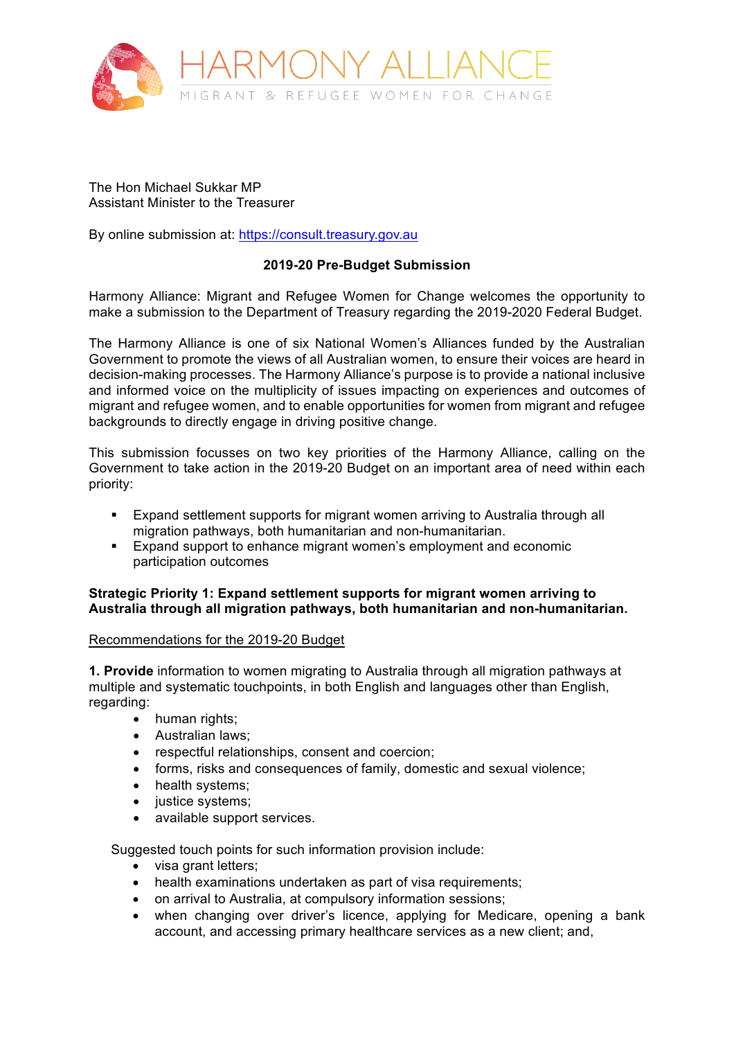

The Hon Michael Sukkar MP Assistant Minister to the Treasurer

By online submission at: https://consult.treasury.gov.au

# **2019-20 Pre-Budget Submission**

Harmony Alliance: Migrant and Refugee Women for Change welcomes the opportunity to make a submission to the Department of Treasury regarding the 2019-2020 Federal Budget.

The Harmony Alliance is one of six National Women's Alliances funded by the Australian Government to promote the views of all Australian women, to ensure their voices are heard in decision-making processes. The Harmony Alliance's purpose is to provide a national inclusive and informed voice on the multiplicity of issues impacting on experiences and outcomes of migrant and refugee women, and to enable opportunities for women from migrant and refugee backgrounds to directly engage in driving positive change.

This submission focusses on two key priorities of the Harmony Alliance, calling on the Government to take action in the 2019-20 Budget on an important area of need within each priority:

- § Expand settlement supports for migrant women arriving to Australia through all migration pathways, both humanitarian and non-humanitarian.
- Expand support to enhance migrant women's employment and economic participation outcomes

# **Strategic Priority 1: Expand settlement supports for migrant women arriving to Australia through all migration pathways, both humanitarian and non-humanitarian.**

# Recommendations for the 2019-20 Budget

**1. Provide** information to women migrating to Australia through all migration pathways at multiple and systematic touchpoints, in both English and languages other than English, regarding:

- human rights;
- Australian laws;
- respectful relationships, consent and coercion;
- forms, risks and consequences of family, domestic and sexual violence;
- health systems;
- justice systems;
- available support services.

Suggested touch points for such information provision include:

- visa grant letters;
- health examinations undertaken as part of visa requirements;
- on arrival to Australia, at compulsory information sessions;
- when changing over driver's licence, applying for Medicare, opening a bank account, and accessing primary healthcare services as a new client; and,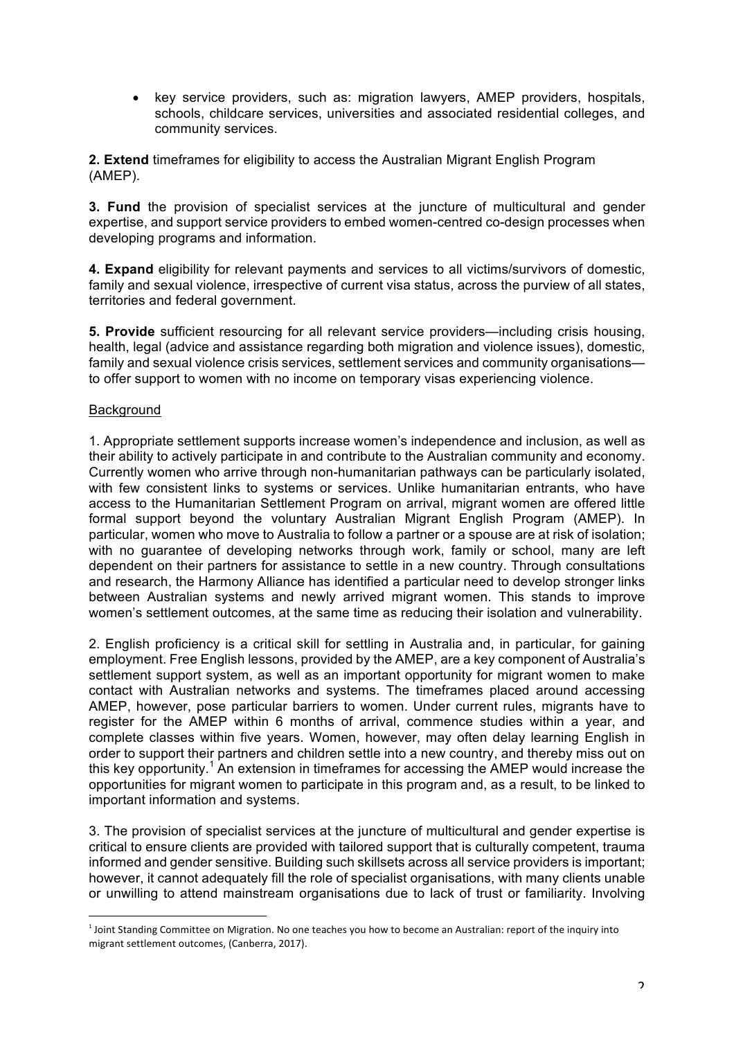• key service providers, such as: migration lawyers, AMEP providers, hospitals, schools, childcare services, universities and associated residential colleges, and community services.

**2. Extend** timeframes for eligibility to access the Australian Migrant English Program (AMEP).

**3. Fund** the provision of specialist services at the juncture of multicultural and gender expertise, and support service providers to embed women-centred co-design processes when developing programs and information.

**4. Expand** eligibility for relevant payments and services to all victims/survivors of domestic, family and sexual violence, irrespective of current visa status, across the purview of all states, territories and federal government.

**5. Provide** sufficient resourcing for all relevant service providers—including crisis housing, health, legal (advice and assistance regarding both migration and violence issues), domestic, family and sexual violence crisis services, settlement services and community organisations to offer support to women with no income on temporary visas experiencing violence.

# Background

 

1. Appropriate settlement supports increase women's independence and inclusion, as well as their ability to actively participate in and contribute to the Australian community and economy. Currently women who arrive through non-humanitarian pathways can be particularly isolated, with few consistent links to systems or services. Unlike humanitarian entrants, who have access to the Humanitarian Settlement Program on arrival, migrant women are offered little formal support beyond the voluntary Australian Migrant English Program (AMEP). In particular, women who move to Australia to follow a partner or a spouse are at risk of isolation; with no guarantee of developing networks through work, family or school, many are left dependent on their partners for assistance to settle in a new country. Through consultations and research, the Harmony Alliance has identified a particular need to develop stronger links between Australian systems and newly arrived migrant women. This stands to improve women's settlement outcomes, at the same time as reducing their isolation and vulnerability.

2. English proficiency is a critical skill for settling in Australia and, in particular, for gaining employment. Free English lessons, provided by the AMEP, are a key component of Australia's settlement support system, as well as an important opportunity for migrant women to make contact with Australian networks and systems. The timeframes placed around accessing AMEP, however, pose particular barriers to women. Under current rules, migrants have to register for the AMEP within 6 months of arrival, commence studies within a year, and complete classes within five years. Women, however, may often delay learning English in order to support their partners and children settle into a new country, and thereby miss out on this key opportunity.<sup>1</sup> An extension in timeframes for accessing the AMEP would increase the opportunities for migrant women to participate in this program and, as a result, to be linked to important information and systems.

3. The provision of specialist services at the juncture of multicultural and gender expertise is critical to ensure clients are provided with tailored support that is culturally competent, trauma informed and gender sensitive. Building such skillsets across all service providers is important; however, it cannot adequately fill the role of specialist organisations, with many clients unable or unwilling to attend mainstream organisations due to lack of trust or familiarity. Involving

 $<sup>1</sup>$  Joint Standing Committee on Migration. No one teaches you how to become an Australian: report of the inquiry into</sup> migrant settlement outcomes, (Canberra, 2017).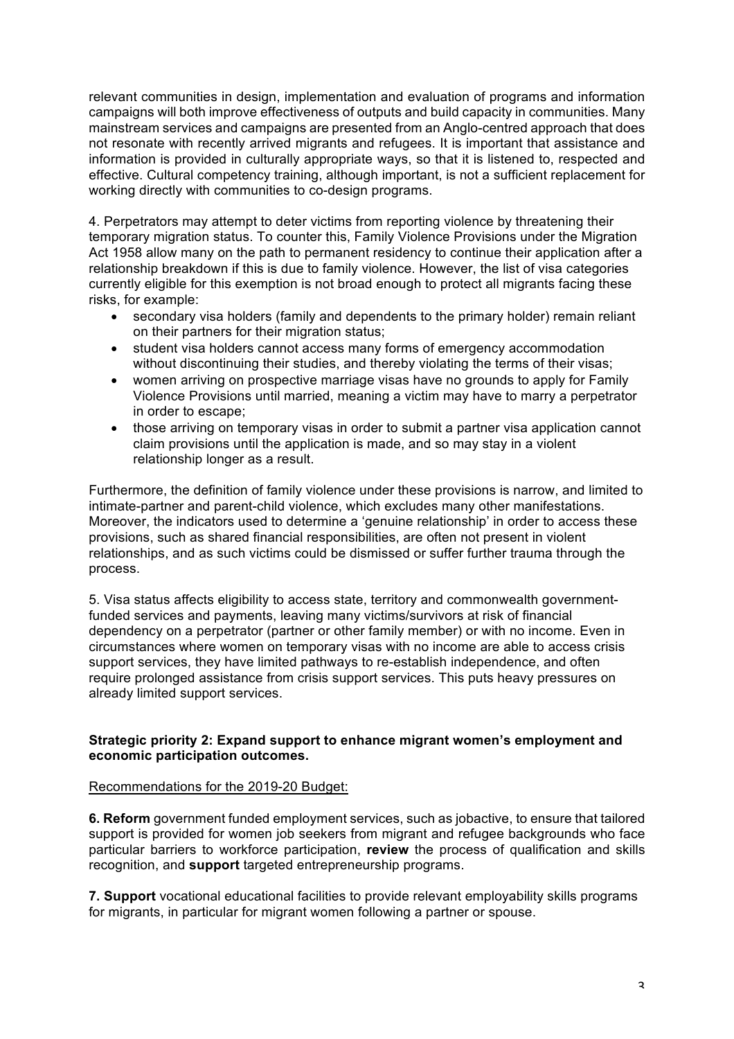relevant communities in design, implementation and evaluation of programs and information campaigns will both improve effectiveness of outputs and build capacity in communities. Many mainstream services and campaigns are presented from an Anglo-centred approach that does not resonate with recently arrived migrants and refugees. It is important that assistance and information is provided in culturally appropriate ways, so that it is listened to, respected and effective. Cultural competency training, although important, is not a sufficient replacement for working directly with communities to co-design programs.

4. Perpetrators may attempt to deter victims from reporting violence by threatening their temporary migration status. To counter this, Family Violence Provisions under the Migration Act 1958 allow many on the path to permanent residency to continue their application after a relationship breakdown if this is due to family violence. However, the list of visa categories currently eligible for this exemption is not broad enough to protect all migrants facing these risks, for example:

- secondary visa holders (family and dependents to the primary holder) remain reliant on their partners for their migration status;
- student visa holders cannot access many forms of emergency accommodation without discontinuing their studies, and thereby violating the terms of their visas;
- women arriving on prospective marriage visas have no grounds to apply for Family Violence Provisions until married, meaning a victim may have to marry a perpetrator in order to escape;
- those arriving on temporary visas in order to submit a partner visa application cannot claim provisions until the application is made, and so may stay in a violent relationship longer as a result.

Furthermore, the definition of family violence under these provisions is narrow, and limited to intimate-partner and parent-child violence, which excludes many other manifestations. Moreover, the indicators used to determine a 'genuine relationship' in order to access these provisions, such as shared financial responsibilities, are often not present in violent relationships, and as such victims could be dismissed or suffer further trauma through the process.

5. Visa status affects eligibility to access state, territory and commonwealth governmentfunded services and payments, leaving many victims/survivors at risk of financial dependency on a perpetrator (partner or other family member) or with no income. Even in circumstances where women on temporary visas with no income are able to access crisis support services, they have limited pathways to re-establish independence, and often require prolonged assistance from crisis support services. This puts heavy pressures on already limited support services.

# **Strategic priority 2: Expand support to enhance migrant women's employment and economic participation outcomes.**

# Recommendations for the 2019-20 Budget:

**6. Reform** government funded employment services, such as jobactive, to ensure that tailored support is provided for women job seekers from migrant and refugee backgrounds who face particular barriers to workforce participation, **review** the process of qualification and skills recognition, and **support** targeted entrepreneurship programs.

**7. Support** vocational educational facilities to provide relevant employability skills programs for migrants, in particular for migrant women following a partner or spouse.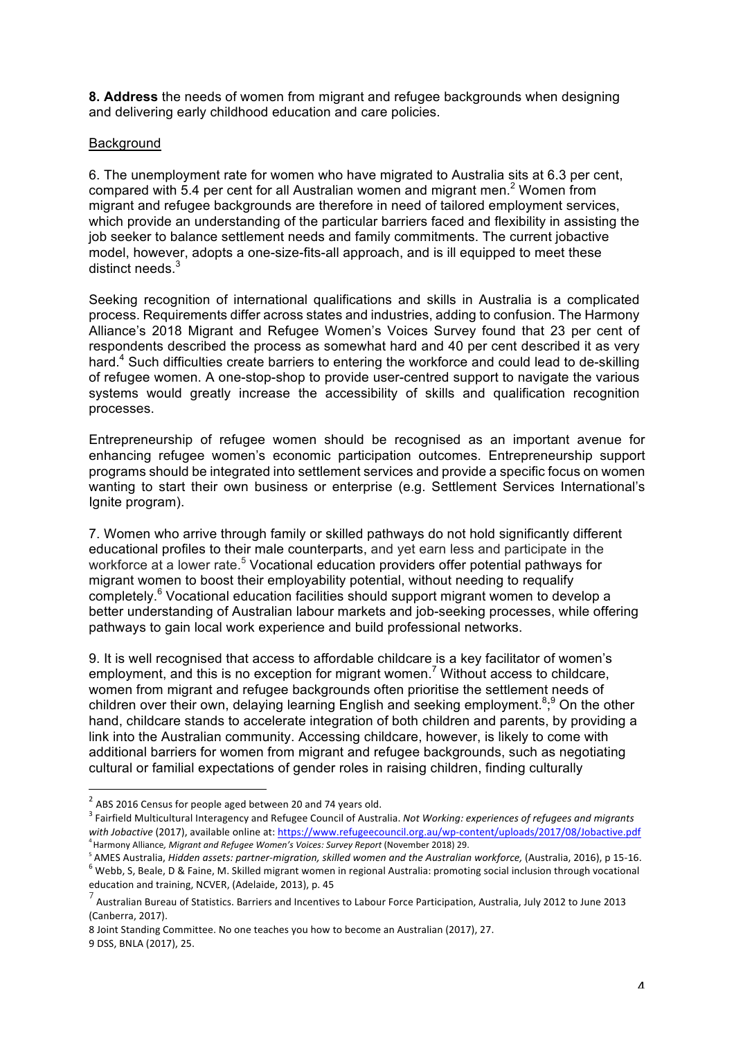**8. Address** the needs of women from migrant and refugee backgrounds when designing and delivering early childhood education and care policies.

### **Background**

6. The unemployment rate for women who have migrated to Australia sits at 6.3 per cent, compared with 5.4 per cent for all Australian women and migrant men.<sup>2</sup> Women from migrant and refugee backgrounds are therefore in need of tailored employment services, which provide an understanding of the particular barriers faced and flexibility in assisting the job seeker to balance settlement needs and family commitments. The current jobactive model, however, adopts a one-size-fits-all approach, and is ill equipped to meet these distinct needs  $3$ 

Seeking recognition of international qualifications and skills in Australia is a complicated process. Requirements differ across states and industries, adding to confusion. The Harmony Alliance's 2018 Migrant and Refugee Women's Voices Survey found that 23 per cent of respondents described the process as somewhat hard and 40 per cent described it as very hard.<sup>4</sup> Such difficulties create barriers to entering the workforce and could lead to de-skilling of refugee women. A one-stop-shop to provide user-centred support to navigate the various systems would greatly increase the accessibility of skills and qualification recognition processes.

Entrepreneurship of refugee women should be recognised as an important avenue for enhancing refugee women's economic participation outcomes. Entrepreneurship support programs should be integrated into settlement services and provide a specific focus on women wanting to start their own business or enterprise (e.g. Settlement Services International's Ignite program).

7. Women who arrive through family or skilled pathways do not hold significantly different educational profiles to their male counterparts, and yet earn less and participate in the workforce at a lower rate.<sup>5</sup> Vocational education providers offer potential pathways for migrant women to boost their employability potential, without needing to requalify completely.<sup>6</sup> Vocational education facilities should support migrant women to develop a better understanding of Australian labour markets and job-seeking processes, while offering pathways to gain local work experience and build professional networks.

9. It is well recognised that access to affordable childcare is a key facilitator of women's employment, and this is no exception for migrant women.<sup>7</sup> Without access to childcare, women from migrant and refugee backgrounds often prioritise the settlement needs of children over their own, delaying learning English and seeking employment.<sup>8,9</sup> On the other hand, childcare stands to accelerate integration of both children and parents, by providing a link into the Australian community. Accessing childcare, however, is likely to come with additional barriers for women from migrant and refugee backgrounds, such as negotiating cultural or familial expectations of gender roles in raising children, finding culturally

8 Joint Standing Committee. No one teaches you how to become an Australian (2017), 27.

9 DSS, BNLA (2017), 25.

 $2$  ABS 2016 Census for people aged between 20 and 74 years old.

<sup>3</sup> Fairfield Multicultural Interagency and Refugee Council of Australia. *Not Working: experiences of refugees and migrants* with Jobactive (2017), available online at: https://www.refugeecouncil.org.au/wp-content/uploads/2017/08/Jobactive.pdf <sup>4</sup> Harmony Alliance*, Migrant and Refugee Women's Voices: Survey Report* (November 2018) 29.

<sup>&</sup>lt;sup>5</sup> AMES Australia, Hidden assets: partner-migration, skilled women and the Australian workforce, (Australia, 2016), p 15-16.<br><sup>6</sup> Webb. S. Beale. D & Faine, M. Skilled migrant women in regional Australia: promoting social education and training, NCVER, (Adelaide, 2013), p. 45

Australian Bureau of Statistics. Barriers and Incentives to Labour Force Participation, Australia, July 2012 to June 2013 (Canberra, 2017).